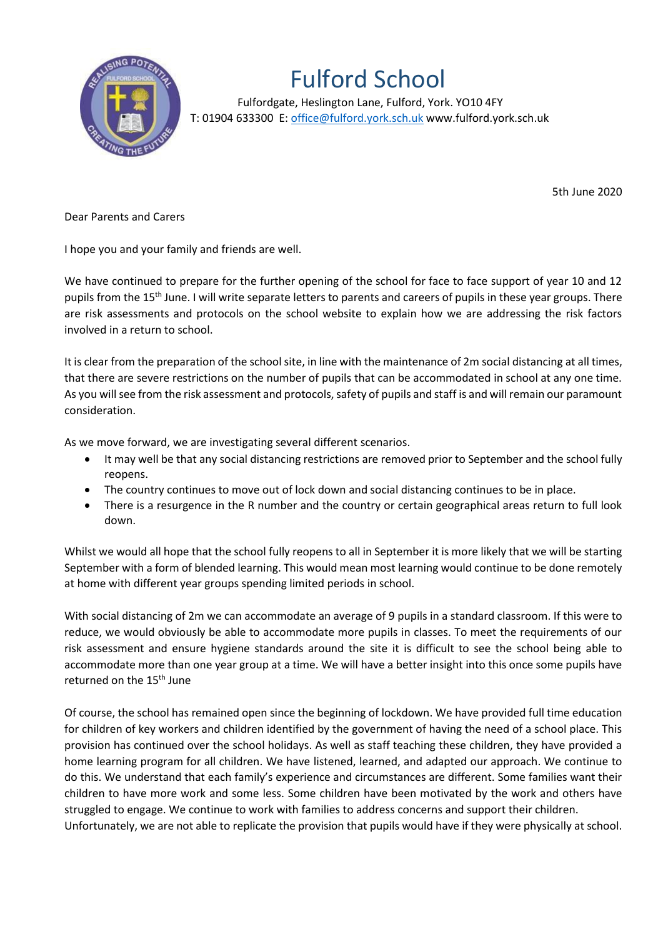

## Fulford School

 Fulfordgate, Heslington Lane, Fulford, York. YO10 4FY T: 01904 633300 E: office@fulford.york.sch.uk www.fulford.york.sch.uk

5th June 2020

Dear Parents and Carers

I hope you and your family and friends are well.

We have continued to prepare for the further opening of the school for face to face support of year 10 and 12 pupils from the 15<sup>th</sup> June. I will write separate letters to parents and careers of pupils in these year groups. There are risk assessments and protocols on the school website to explain how we are addressing the risk factors involved in a return to school.

It is clear from the preparation of the school site, in line with the maintenance of 2m social distancing at all times, that there are severe restrictions on the number of pupils that can be accommodated in school at any one time. As you will see from the risk assessment and protocols, safety of pupils and staff is and will remain our paramount consideration.

As we move forward, we are investigating several different scenarios.

- It may well be that any social distancing restrictions are removed prior to September and the school fully reopens.
- The country continues to move out of lock down and social distancing continues to be in place.
- There is a resurgence in the R number and the country or certain geographical areas return to full look down.

Whilst we would all hope that the school fully reopens to all in September it is more likely that we will be starting September with a form of blended learning. This would mean most learning would continue to be done remotely at home with different year groups spending limited periods in school.

With social distancing of 2m we can accommodate an average of 9 pupils in a standard classroom. If this were to reduce, we would obviously be able to accommodate more pupils in classes. To meet the requirements of our risk assessment and ensure hygiene standards around the site it is difficult to see the school being able to accommodate more than one year group at a time. We will have a better insight into this once some pupils have returned on the 15<sup>th</sup> June

Of course, the school has remained open since the beginning of lockdown. We have provided full time education for children of key workers and children identified by the government of having the need of a school place. This provision has continued over the school holidays. As well as staff teaching these children, they have provided a home learning program for all children. We have listened, learned, and adapted our approach. We continue to do this. We understand that each family's experience and circumstances are different. Some families want their children to have more work and some less. Some children have been motivated by the work and others have struggled to engage. We continue to work with families to address concerns and support their children. Unfortunately, we are not able to replicate the provision that pupils would have if they were physically at school.